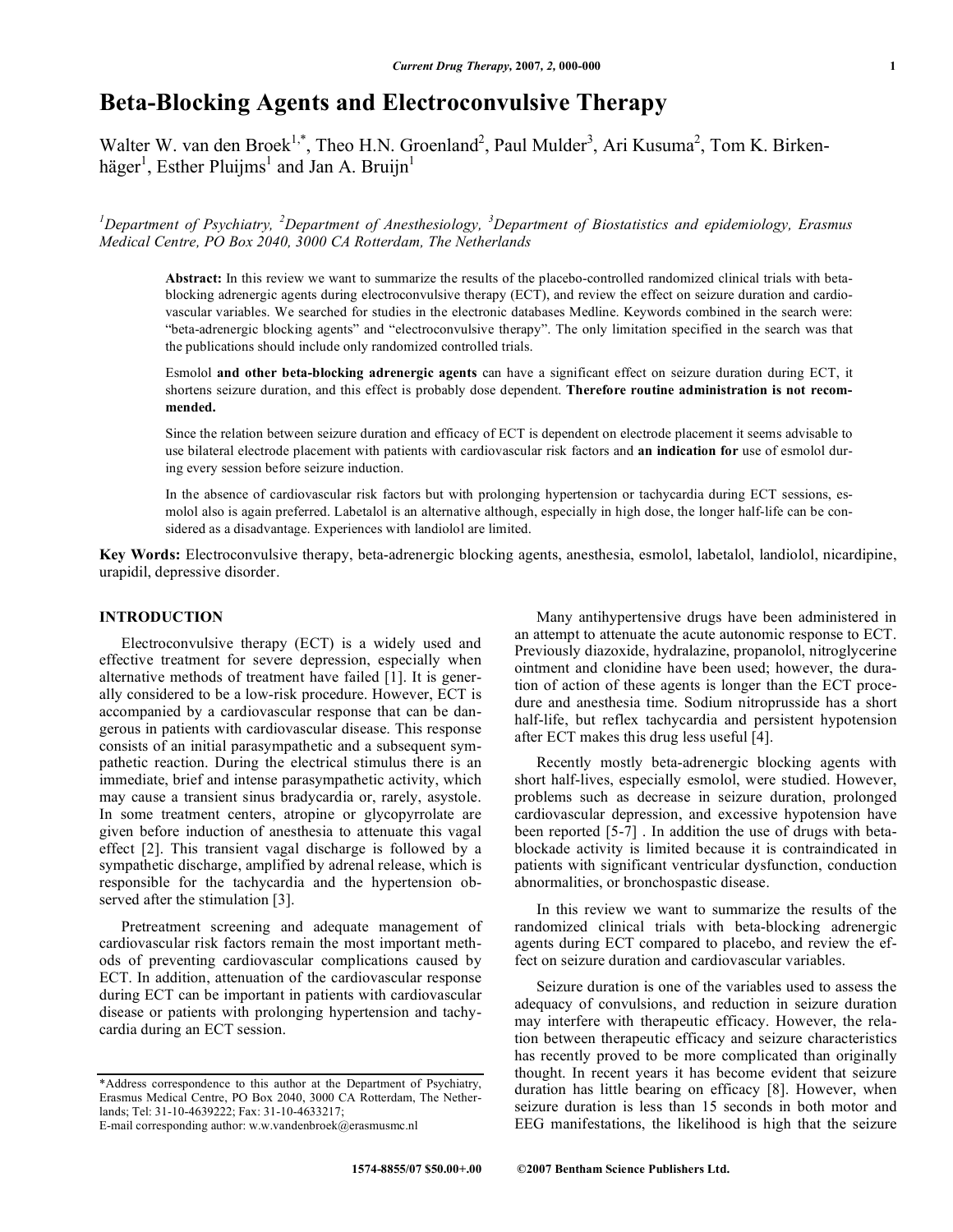# **Beta-Blocking Agents and Electroconvulsive Therapy**

Walter W. van den Broek<sup>1,\*</sup>, Theo H.N. Groenland<sup>2</sup>, Paul Mulder<sup>3</sup>, Ari Kusuma<sup>2</sup>, Tom K. Birkenhäger<sup>1</sup>, Esther Pluijms<sup>1</sup> and Jan A. Bruijn<sup>1</sup>

<sup>1</sup>Department of Psychiatry, <sup>2</sup>Department of Anesthesiology, <sup>3</sup>Department of Biostatistics and epidemiology, Erasmus *Medical Centre, PO Box 2040, 3000 CA Rotterdam, The Netherlands*

**Abstract:** In this review we want to summarize the results of the placebo-controlled randomized clinical trials with betablocking adrenergic agents during electroconvulsive therapy (ECT), and review the effect on seizure duration and cardiovascular variables. We searched for studies in the electronic databases Medline. Keywords combined in the search were: "beta-adrenergic blocking agents" and "electroconvulsive therapy". The only limitation specified in the search was that the publications should include only randomized controlled trials.

Esmolol **and other beta-blocking adrenergic agents** can have a significant effect on seizure duration during ECT, it shortens seizure duration, and this effect is probably dose dependent. **Therefore routine administration is not recommended.** 

Since the relation between seizure duration and efficacy of ECT is dependent on electrode placement it seems advisable to use bilateral electrode placement with patients with cardiovascular risk factors and **an indication for** use of esmolol during every session before seizure induction.

In the absence of cardiovascular risk factors but with prolonging hypertension or tachycardia during ECT sessions, esmolol also is again preferred. Labetalol is an alternative although, especially in high dose, the longer half-life can be considered as a disadvantage. Experiences with landiolol are limited.

**Key Words:** Electroconvulsive therapy, beta-adrenergic blocking agents, anesthesia, esmolol, labetalol, landiolol, nicardipine, urapidil, depressive disorder.

## **INTRODUCTION**

 Electroconvulsive therapy (ECT) is a widely used and effective treatment for severe depression, especially when alternative methods of treatment have failed [1]. It is generally considered to be a low-risk procedure. However, ECT is accompanied by a cardiovascular response that can be dangerous in patients with cardiovascular disease. This response consists of an initial parasympathetic and a subsequent sympathetic reaction. During the electrical stimulus there is an immediate, brief and intense parasympathetic activity, which may cause a transient sinus bradycardia or, rarely, asystole. In some treatment centers, atropine or glycopyrrolate are given before induction of anesthesia to attenuate this vagal effect [2]. This transient vagal discharge is followed by a sympathetic discharge, amplified by adrenal release, which is responsible for the tachycardia and the hypertension observed after the stimulation [3].

 Pretreatment screening and adequate management of cardiovascular risk factors remain the most important methods of preventing cardiovascular complications caused by ECT. In addition, attenuation of the cardiovascular response during ECT can be important in patients with cardiovascular disease or patients with prolonging hypertension and tachycardia during an ECT session.

 Many antihypertensive drugs have been administered in an attempt to attenuate the acute autonomic response to ECT. Previously diazoxide, hydralazine, propanolol, nitroglycerine ointment and clonidine have been used; however, the duration of action of these agents is longer than the ECT procedure and anesthesia time. Sodium nitroprusside has a short half-life, but reflex tachycardia and persistent hypotension after ECT makes this drug less useful [4].

 Recently mostly beta-adrenergic blocking agents with short half-lives, especially esmolol, were studied. However, problems such as decrease in seizure duration, prolonged cardiovascular depression, and excessive hypotension have been reported [5-7] . In addition the use of drugs with betablockade activity is limited because it is contraindicated in patients with significant ventricular dysfunction, conduction abnormalities, or bronchospastic disease.

 In this review we want to summarize the results of the randomized clinical trials with beta-blocking adrenergic agents during ECT compared to placebo, and review the effect on seizure duration and cardiovascular variables.

 Seizure duration is one of the variables used to assess the adequacy of convulsions, and reduction in seizure duration may interfere with therapeutic efficacy. However, the relation between therapeutic efficacy and seizure characteristics has recently proved to be more complicated than originally thought. In recent years it has become evident that seizure duration has little bearing on efficacy [8]. However, when seizure duration is less than 15 seconds in both motor and EEG manifestations, the likelihood is high that the seizure

<sup>\*</sup>Address correspondence to this author at the Department of Psychiatry, Erasmus Medical Centre, PO Box 2040, 3000 CA Rotterdam, The Netherlands; Tel: 31-10-4639222; Fax: 31-10-4633217;

E-mail corresponding author: w.w.vandenbroek@erasmusmc.nl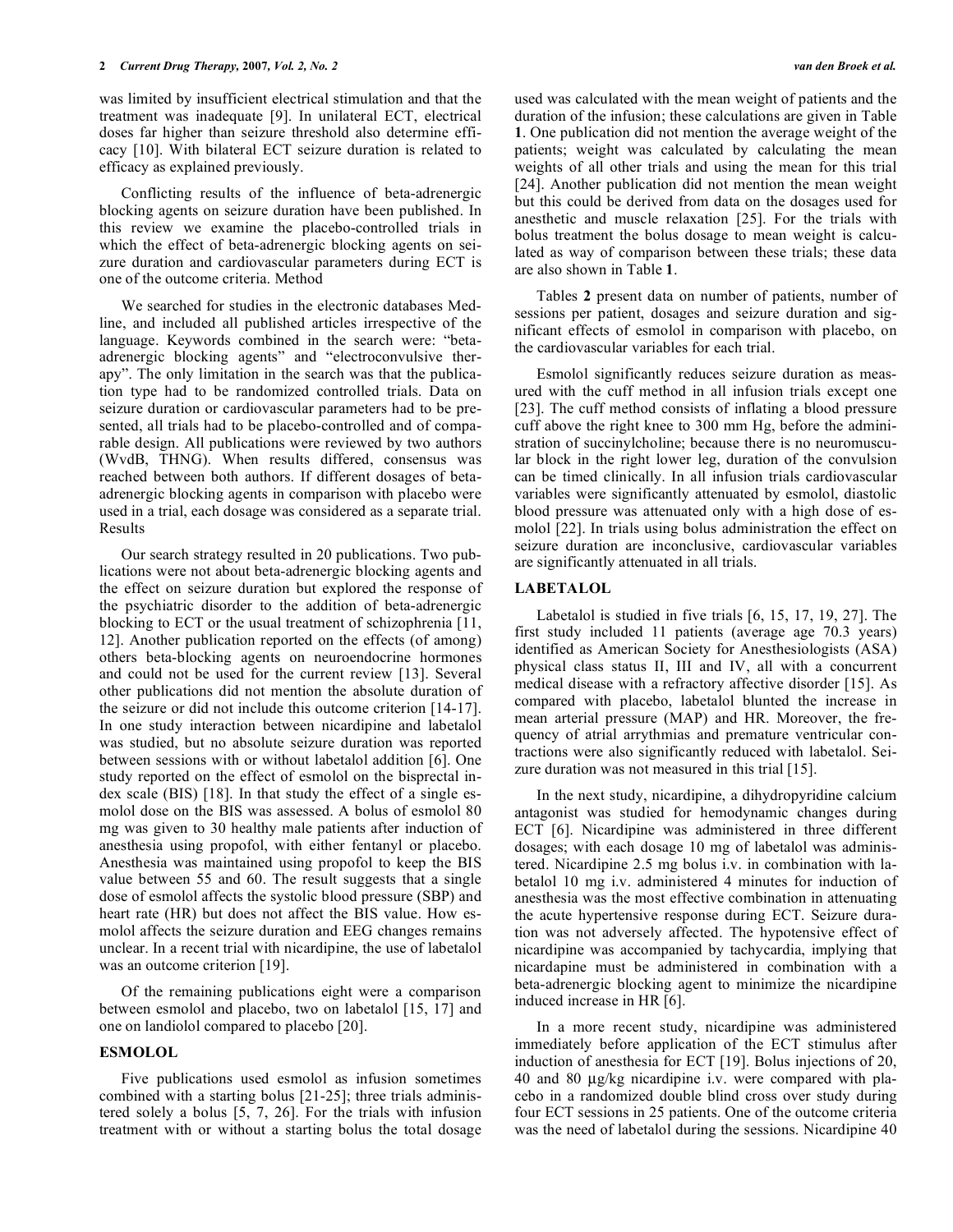was limited by insufficient electrical stimulation and that the treatment was inadequate [9]. In unilateral ECT, electrical doses far higher than seizure threshold also determine efficacy [10]. With bilateral ECT seizure duration is related to efficacy as explained previously.

 Conflicting results of the influence of beta-adrenergic blocking agents on seizure duration have been published. In this review we examine the placebo-controlled trials in which the effect of beta-adrenergic blocking agents on seizure duration and cardiovascular parameters during ECT is one of the outcome criteria. Method

 We searched for studies in the electronic databases Medline, and included all published articles irrespective of the language. Keywords combined in the search were: "betaadrenergic blocking agents" and "electroconvulsive therapy". The only limitation in the search was that the publication type had to be randomized controlled trials. Data on seizure duration or cardiovascular parameters had to be presented, all trials had to be placebo-controlled and of comparable design. All publications were reviewed by two authors (WvdB, THNG). When results differed, consensus was reached between both authors. If different dosages of betaadrenergic blocking agents in comparison with placebo were used in a trial, each dosage was considered as a separate trial. Results

 Our search strategy resulted in 20 publications. Two publications were not about beta-adrenergic blocking agents and the effect on seizure duration but explored the response of the psychiatric disorder to the addition of beta-adrenergic blocking to ECT or the usual treatment of schizophrenia [11, 12]. Another publication reported on the effects (of among) others beta-blocking agents on neuroendocrine hormones and could not be used for the current review [13]. Several other publications did not mention the absolute duration of the seizure or did not include this outcome criterion [14-17]. In one study interaction between nicardipine and labetalol was studied, but no absolute seizure duration was reported between sessions with or without labetalol addition [6]. One study reported on the effect of esmolol on the bisprectal index scale (BIS) [18]. In that study the effect of a single esmolol dose on the BIS was assessed. A bolus of esmolol 80 mg was given to 30 healthy male patients after induction of anesthesia using propofol, with either fentanyl or placebo. Anesthesia was maintained using propofol to keep the BIS value between 55 and 60. The result suggests that a single dose of esmolol affects the systolic blood pressure (SBP) and heart rate (HR) but does not affect the BIS value. How esmolol affects the seizure duration and EEG changes remains unclear. In a recent trial with nicardipine, the use of labetalol was an outcome criterion [19].

 Of the remaining publications eight were a comparison between esmolol and placebo, two on labetalol [15, 17] and one on landiolol compared to placebo [20].

## **ESMOLOL**

 Five publications used esmolol as infusion sometimes combined with a starting bolus [21-25]; three trials administered solely a bolus [5, 7, 26]. For the trials with infusion treatment with or without a starting bolus the total dosage used was calculated with the mean weight of patients and the duration of the infusion; these calculations are given in Table **1**. One publication did not mention the average weight of the patients; weight was calculated by calculating the mean weights of all other trials and using the mean for this trial [24]. Another publication did not mention the mean weight but this could be derived from data on the dosages used for anesthetic and muscle relaxation [25]. For the trials with bolus treatment the bolus dosage to mean weight is calculated as way of comparison between these trials; these data are also shown in Table **1**.

 Tables **2** present data on number of patients, number of sessions per patient, dosages and seizure duration and significant effects of esmolol in comparison with placebo, on the cardiovascular variables for each trial.

 Esmolol significantly reduces seizure duration as measured with the cuff method in all infusion trials except one [23]. The cuff method consists of inflating a blood pressure cuff above the right knee to 300 mm Hg, before the administration of succinylcholine; because there is no neuromuscular block in the right lower leg, duration of the convulsion can be timed clinically. In all infusion trials cardiovascular variables were significantly attenuated by esmolol, diastolic blood pressure was attenuated only with a high dose of esmolol [22]. In trials using bolus administration the effect on seizure duration are inconclusive, cardiovascular variables are significantly attenuated in all trials.

## **LABETALOL**

 Labetalol is studied in five trials [6, 15, 17, 19, 27]. The first study included 11 patients (average age 70.3 years) identified as American Society for Anesthesiologists (ASA) physical class status II, III and IV, all with a concurrent medical disease with a refractory affective disorder [15]. As compared with placebo, labetalol blunted the increase in mean arterial pressure (MAP) and HR. Moreover, the frequency of atrial arrythmias and premature ventricular contractions were also significantly reduced with labetalol. Seizure duration was not measured in this trial [15].

 In the next study, nicardipine, a dihydropyridine calcium antagonist was studied for hemodynamic changes during ECT [6]. Nicardipine was administered in three different dosages; with each dosage 10 mg of labetalol was administered. Nicardipine 2.5 mg bolus i.v. in combination with labetalol 10 mg i.v. administered 4 minutes for induction of anesthesia was the most effective combination in attenuating the acute hypertensive response during ECT. Seizure duration was not adversely affected. The hypotensive effect of nicardipine was accompanied by tachycardia, implying that nicardapine must be administered in combination with a beta-adrenergic blocking agent to minimize the nicardipine induced increase in HR [6].

 In a more recent study, nicardipine was administered immediately before application of the ECT stimulus after induction of anesthesia for ECT [19]. Bolus injections of 20, 40 and 80 μg/kg nicardipine i.v. were compared with placebo in a randomized double blind cross over study during four ECT sessions in 25 patients. One of the outcome criteria was the need of labetalol during the sessions. Nicardipine 40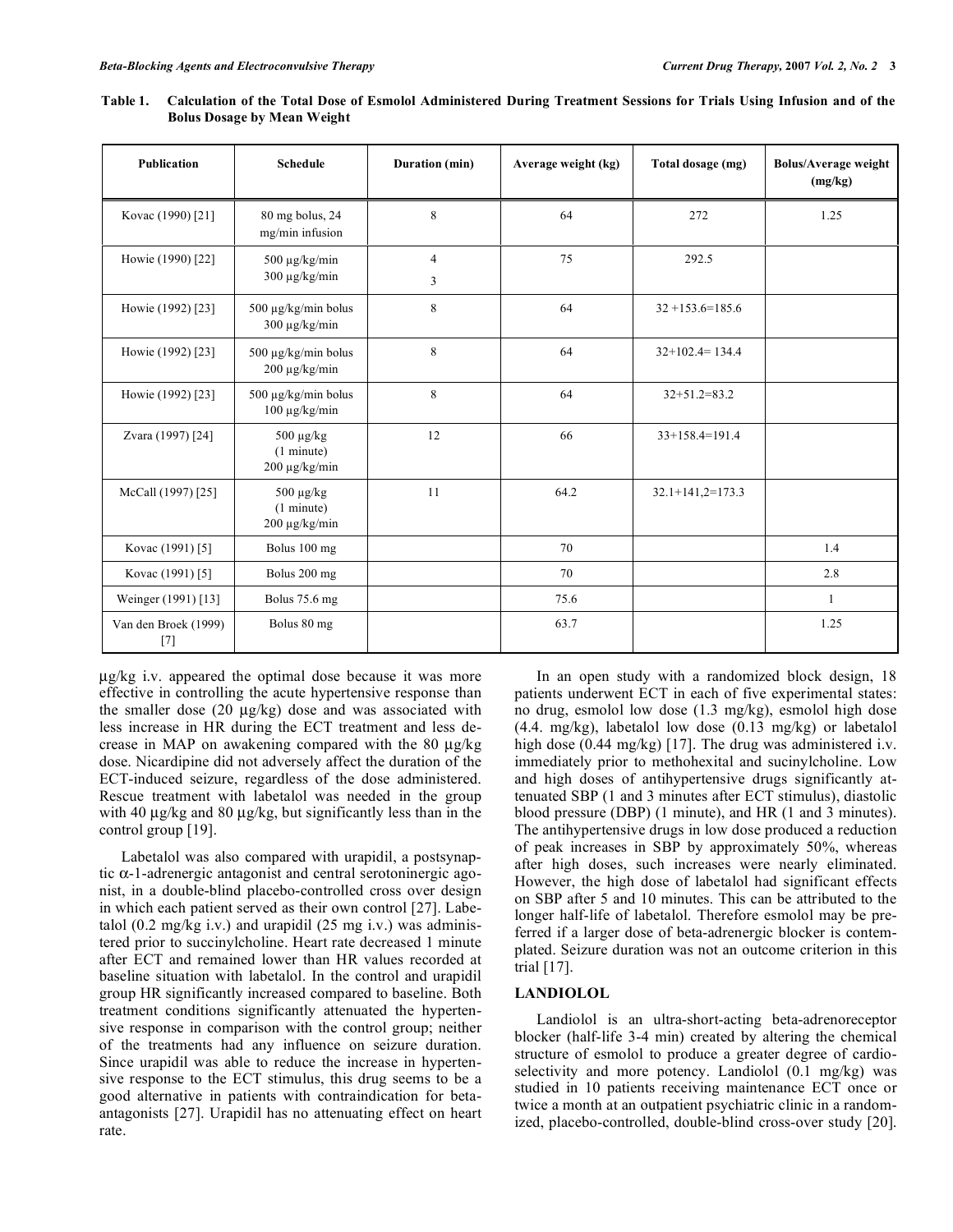| <b>Publication</b>            | <b>Schedule</b>                                    | Duration (min)      | Average weight (kg) | Total dosage (mg)      | <b>Bolus/Average weight</b><br>(mg/kg) |
|-------------------------------|----------------------------------------------------|---------------------|---------------------|------------------------|----------------------------------------|
| Kovac (1990) [21]             | 80 mg bolus, 24<br>mg/min infusion                 | 8                   | 64                  | 272                    | 1.25                                   |
| Howie (1990) [22]             | 500 µg/kg/min<br>$300 \mu g/kg/min$                | $\overline{4}$<br>3 | 75                  | 292.5                  |                                        |
| Howie (1992) [23]             | $500 \mu g/kg/min$ bolus<br>$300 \mu g/kg/min$     | 8                   | 64                  | $32 + 153.6 = 185.6$   |                                        |
| Howie (1992) [23]             | $500 \mu g/kg/min$ bolus<br>$200 \mu g/kg/min$     | 8                   | 64                  | $32+102.4=134.4$       |                                        |
| Howie (1992) [23]             | 500 µg/kg/min bolus<br>$100 \mu g/kg/min$          | 8                   | 64                  | $32+51.2=83.2$         |                                        |
| Zvara (1997) [24]             | $500 \mu g/kg$<br>(1 minute)<br>$200 \mu g/kg/min$ | 12                  | 66                  | $33+158.4=191.4$       |                                        |
| McCall (1997) [25]            | $500 \mu g/kg$<br>(1 minute)<br>$200 \mu g/kg/min$ | 11                  | 64.2                | $32.1 + 141,2 = 173.3$ |                                        |
| Kovac (1991) [5]              | Bolus 100 mg                                       |                     | 70                  |                        | 1.4                                    |
| Kovac (1991) [5]              | Bolus 200 mg                                       |                     | 70                  |                        | 2.8                                    |
| Weinger (1991) [13]           | Bolus 75.6 mg                                      |                     | 75.6                |                        | $\mathbf{1}$                           |
| Van den Broek (1999)<br>$[7]$ | Bolus 80 mg                                        |                     | 63.7                |                        | 1.25                                   |

**Table 1. Calculation of the Total Dose of Esmolol Administered During Treatment Sessions for Trials Using Infusion and of the Bolus Dosage by Mean Weight** 

μg/kg i.v. appeared the optimal dose because it was more effective in controlling the acute hypertensive response than the smaller dose (20 μg/kg) dose and was associated with less increase in HR during the ECT treatment and less decrease in MAP on awakening compared with the 80 μg/kg dose. Nicardipine did not adversely affect the duration of the ECT-induced seizure, regardless of the dose administered. Rescue treatment with labetalol was needed in the group with 40 μg/kg and 80 μg/kg, but significantly less than in the control group [19].

 Labetalol was also compared with urapidil, a postsynaptic  $\alpha$ -1-adrenergic antagonist and central serotoninergic agonist, in a double-blind placebo-controlled cross over design in which each patient served as their own control [27]. Labetalol  $(0.2 \text{ mg/kg} \text{ i.v.})$  and urapidil  $(25 \text{ mg} \text{ i.v.})$  was administered prior to succinylcholine. Heart rate decreased 1 minute after ECT and remained lower than HR values recorded at baseline situation with labetalol. In the control and urapidil group HR significantly increased compared to baseline. Both treatment conditions significantly attenuated the hypertensive response in comparison with the control group; neither of the treatments had any influence on seizure duration. Since urapidil was able to reduce the increase in hypertensive response to the ECT stimulus, this drug seems to be a good alternative in patients with contraindication for betaantagonists [27]. Urapidil has no attenuating effect on heart rate.

 In an open study with a randomized block design, 18 patients underwent ECT in each of five experimental states: no drug, esmolol low dose (1.3 mg/kg), esmolol high dose (4.4. mg/kg), labetalol low dose (0.13 mg/kg) or labetalol high dose (0.44 mg/kg) [17]. The drug was administered i.v. immediately prior to methohexital and sucinylcholine. Low and high doses of antihypertensive drugs significantly attenuated SBP (1 and 3 minutes after ECT stimulus), diastolic blood pressure (DBP) (1 minute), and HR (1 and 3 minutes). The antihypertensive drugs in low dose produced a reduction of peak increases in SBP by approximately 50%, whereas after high doses, such increases were nearly eliminated. However, the high dose of labetalol had significant effects on SBP after 5 and 10 minutes. This can be attributed to the longer half-life of labetalol. Therefore esmolol may be preferred if a larger dose of beta-adrenergic blocker is contemplated. Seizure duration was not an outcome criterion in this trial [17].

## **LANDIOLOL**

 Landiolol is an ultra-short-acting beta-adrenoreceptor blocker (half-life 3-4 min) created by altering the chemical structure of esmolol to produce a greater degree of cardioselectivity and more potency. Landiolol (0.1 mg/kg) was studied in 10 patients receiving maintenance ECT once or twice a month at an outpatient psychiatric clinic in a randomized, placebo-controlled, double-blind cross-over study [20].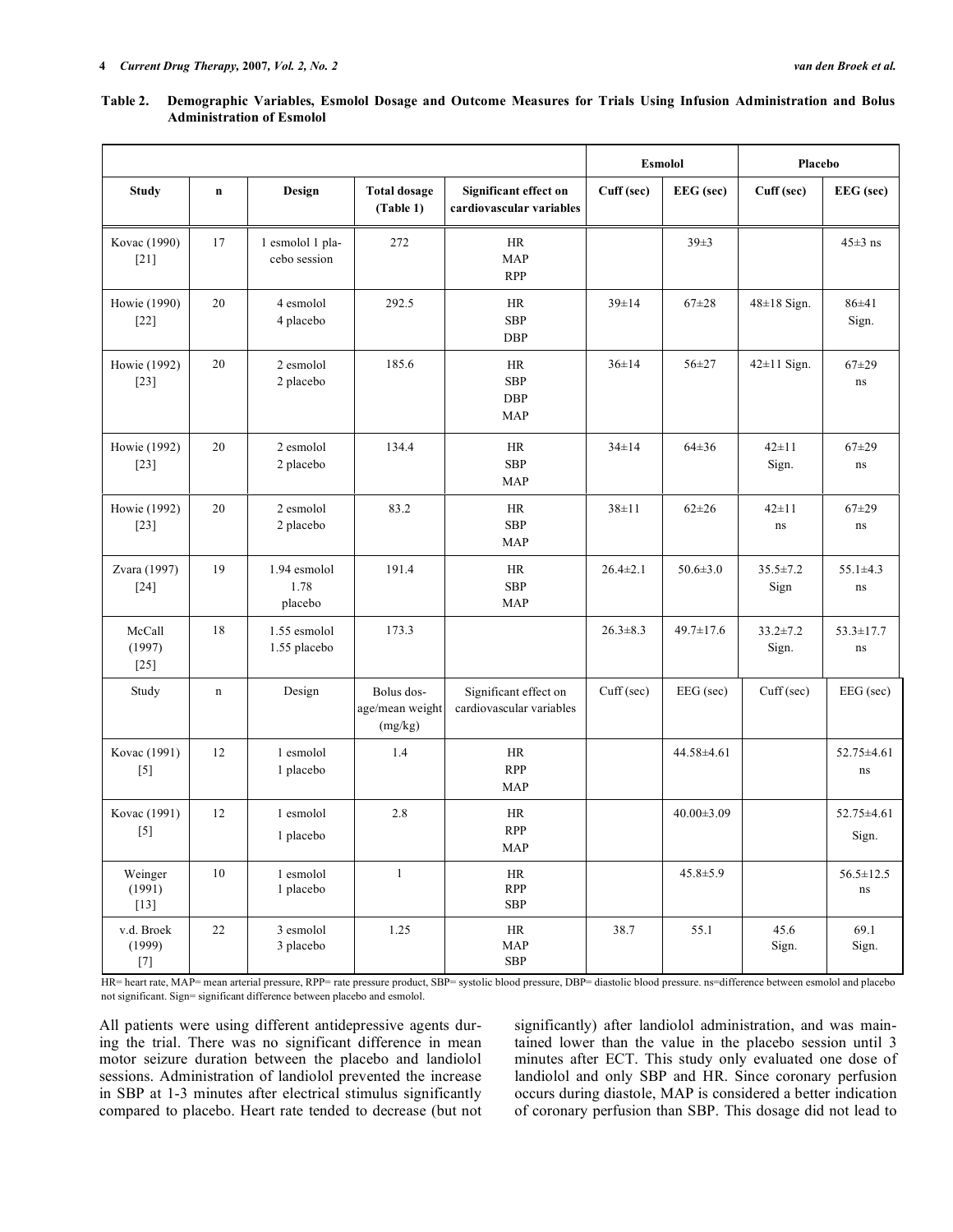| Table 2. Demographic Variables, Esmolol Dosage and Outcome Measures for Trials Using Infusion Administration and Bolus |  |  |  |  |
|------------------------------------------------------------------------------------------------------------------------|--|--|--|--|
| <b>Administration of Esmolol</b>                                                                                       |  |  |  |  |

|                               |             |                                  |                                          |                                                   | Esmolol        |                  | Placebo                 |                             |
|-------------------------------|-------------|----------------------------------|------------------------------------------|---------------------------------------------------|----------------|------------------|-------------------------|-----------------------------|
| <b>Study</b>                  | $\mathbf n$ | Design                           | <b>Total dosage</b><br>(Table 1)         | Significant effect on<br>cardiovascular variables | Cuff (sec)     | EEG (sec)        | Cuff (sec)              | EEG (sec)                   |
| Kovac (1990)<br>$[21]$        | 17          | 1 esmolol 1 pla-<br>cebo session | 272                                      | HR<br><b>MAP</b><br><b>RPP</b>                    |                | $39 + 3$         |                         | $45\pm3$ ns                 |
| Howie (1990)<br>$[22]$        | 20          | 4 esmolol<br>4 placebo           | 292.5                                    | HR<br><b>SBP</b><br><b>DBP</b>                    | $39 \pm 14$    | $67 + 28$        | 48±18 Sign.             | $86 + 41$<br>Sign.          |
| Howie (1992)<br>$[23]$        | 20          | 2 esmolol<br>2 placebo           | 185.6                                    | HR<br><b>SBP</b><br><b>DBP</b><br>MAP             | 36±14          | $56 \pm 27$      | 42±11 Sign.             | $67 + 29$<br>ns             |
| Howie (1992)<br>$[23]$        | $20\,$      | 2 esmolol<br>2 placebo           | 134.4                                    | $\rm{HR}$<br><b>SBP</b><br><b>MAP</b>             | $34 \pm 14$    | $64 + 36$        | $42 + 11$<br>Sign.      | $67 + 29$<br>ns             |
| Howie (1992)<br>$[23]$        | 20          | 2 esmolol<br>2 placebo           | 83.2                                     | HR<br><b>SBP</b><br><b>MAP</b>                    | $38 \pm 11$    | $62 + 26$        | $42 \pm 11$<br>$\rm ns$ | $67 + 29$<br>$\rm ns$       |
| Zvara (1997)<br>$[24]$        | 19          | 1.94 esmolol<br>1.78<br>placebo  | 191.4                                    | HR<br><b>SBP</b><br>MAP                           | $26.4 \pm 2.1$ | $50.6 \pm 3.0$   | $35.5 \pm 7.2$<br>Sign  | $55.1 \pm 4.3$<br>ns        |
| McCall<br>(1997)<br>$[25]$    | 18          | 1.55 esmolol<br>1.55 placebo     | 173.3                                    |                                                   | $26.3 \pm 8.3$ | $49.7 \pm 17.6$  | $33.2 \pm 7.2$<br>Sign. | $53.3 \pm 17.7$<br>ns       |
| Study                         | $\mathbf n$ | Design                           | Bolus dos-<br>age/mean weight<br>(mg/kg) | Significant effect on<br>cardiovascular variables | Cuff(sec)      | EEG (sec)        | Cuff(sec)               | EEG (sec)                   |
| Kovac (1991)<br>$[5]$         | 12          | 1 esmolol<br>1 placebo           | 1.4                                      | HR<br><b>RPP</b><br><b>MAP</b>                    |                | 44.58±4.61       |                         | 52.75±4.61<br>ns            |
| Kovac (1991)<br>$[5]$         | 12          | 1 esmolol<br>1 placebo           | 2.8                                      | $\rm{HR}$<br><b>RPP</b><br>MAP                    |                | $40.00 \pm 3.09$ |                         | 52.75±4.61<br>Sign.         |
| Weinger<br>(1991)<br>$[13]$   | $10\,$      | 1 esmolol<br>1 placebo           | $\mathbf{1}$                             | $\rm{HR}$<br><b>RPP</b><br><b>SBP</b>             |                | 45.8±5.9         |                         | $56.5 \pm 12.5$<br>$\rm ns$ |
| v.d. Broek<br>(1999)<br>$[7]$ | $22\,$      | 3 esmolol<br>3 placebo           | 1.25                                     | HR<br>MAP<br><b>SBP</b>                           | 38.7           | 55.1             | 45.6<br>Sign.           | 69.1<br>Sign.               |

HR= heart rate, MAP= mean arterial pressure, RPP= rate pressure product, SBP= systolic blood pressure, DBP= diastolic blood pressure. ns=difference between esmolol and placebo not significant. Sign= significant difference between placebo and esmolol.

All patients were using different antidepressive agents during the trial. There was no significant difference in mean motor seizure duration between the placebo and landiolol sessions. Administration of landiolol prevented the increase in SBP at 1-3 minutes after electrical stimulus significantly compared to placebo. Heart rate tended to decrease (but not significantly) after landiolol administration, and was maintained lower than the value in the placebo session until 3 minutes after ECT. This study only evaluated one dose of landiolol and only SBP and HR. Since coronary perfusion occurs during diastole, MAP is considered a better indication of coronary perfusion than SBP. This dosage did not lead to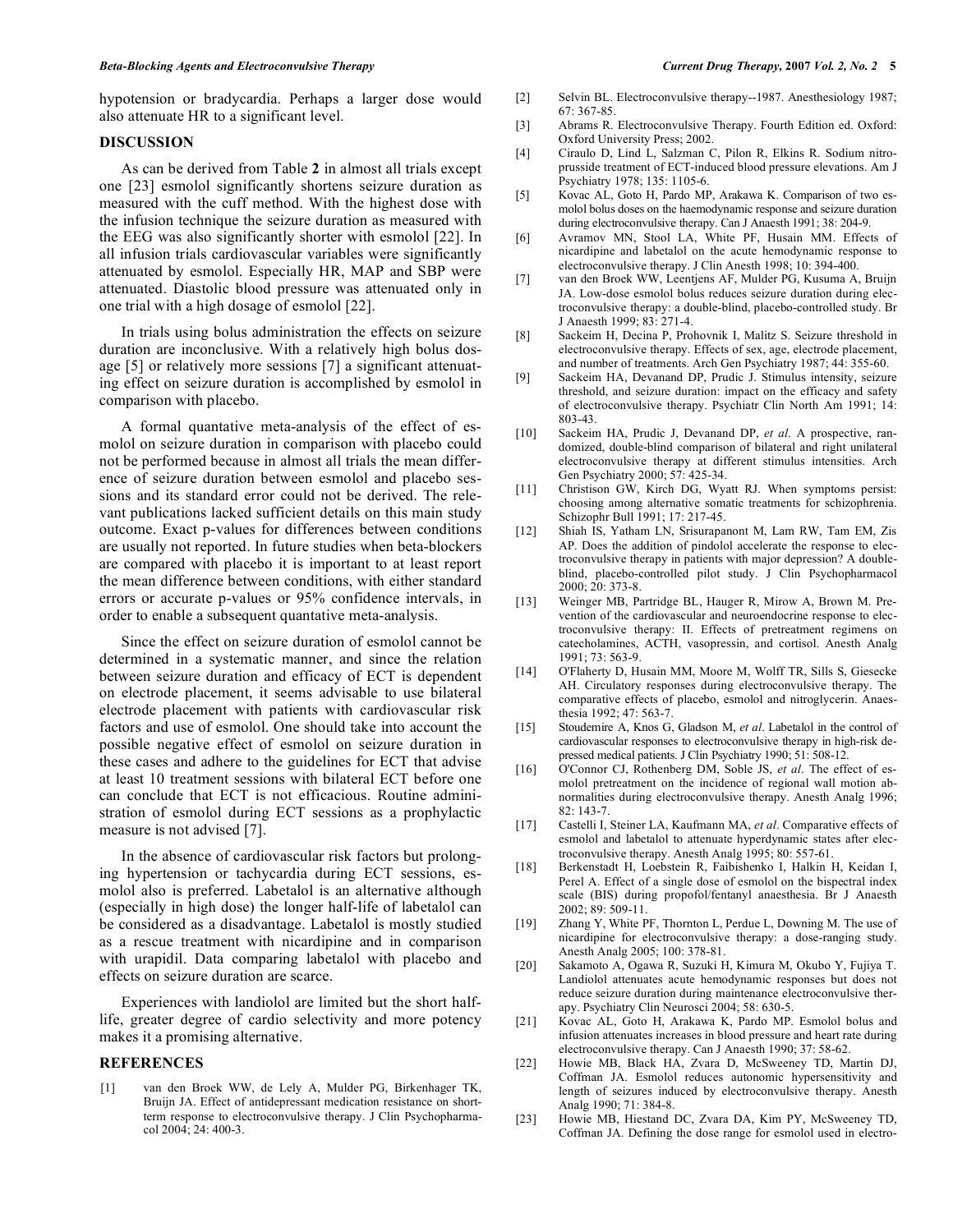hypotension or bradycardia. Perhaps a larger dose would also attenuate HR to a significant level.

#### **DISCUSSION**

 As can be derived from Table **2** in almost all trials except one [23] esmolol significantly shortens seizure duration as measured with the cuff method. With the highest dose with the infusion technique the seizure duration as measured with the EEG was also significantly shorter with esmolol [22]. In all infusion trials cardiovascular variables were significantly attenuated by esmolol. Especially HR, MAP and SBP were attenuated. Diastolic blood pressure was attenuated only in one trial with a high dosage of esmolol [22].

 In trials using bolus administration the effects on seizure duration are inconclusive. With a relatively high bolus dosage [5] or relatively more sessions [7] a significant attenuating effect on seizure duration is accomplished by esmolol in comparison with placebo.

 A formal quantative meta-analysis of the effect of esmolol on seizure duration in comparison with placebo could not be performed because in almost all trials the mean difference of seizure duration between esmolol and placebo sessions and its standard error could not be derived. The relevant publications lacked sufficient details on this main study outcome. Exact p-values for differences between conditions are usually not reported. In future studies when beta-blockers are compared with placebo it is important to at least report the mean difference between conditions, with either standard errors or accurate p-values or 95% confidence intervals, in order to enable a subsequent quantative meta-analysis.

 Since the effect on seizure duration of esmolol cannot be determined in a systematic manner, and since the relation between seizure duration and efficacy of ECT is dependent on electrode placement, it seems advisable to use bilateral electrode placement with patients with cardiovascular risk factors and use of esmolol. One should take into account the possible negative effect of esmolol on seizure duration in these cases and adhere to the guidelines for ECT that advise at least 10 treatment sessions with bilateral ECT before one can conclude that ECT is not efficacious. Routine administration of esmolol during ECT sessions as a prophylactic measure is not advised [7].

 In the absence of cardiovascular risk factors but prolonging hypertension or tachycardia during ECT sessions, esmolol also is preferred. Labetalol is an alternative although (especially in high dose) the longer half-life of labetalol can be considered as a disadvantage. Labetalol is mostly studied as a rescue treatment with nicardipine and in comparison with urapidil. Data comparing labetalol with placebo and effects on seizure duration are scarce.

 Experiences with landiolol are limited but the short halflife, greater degree of cardio selectivity and more potency makes it a promising alternative.

#### **REFERENCES**

[1] van den Broek WW, de Lely A, Mulder PG, Birkenhager TK, Bruijn JA. Effect of antidepressant medication resistance on shortterm response to electroconvulsive therapy. J Clin Psychopharmacol 2004; 24: 400-3.

- [2] Selvin BL. Electroconvulsive therapy--1987. Anesthesiology 1987; 67: 367-85.
- [3] Abrams R. Electroconvulsive Therapy. Fourth Edition ed. Oxford: Oxford University Press; 2002.
- [4] Ciraulo D, Lind L, Salzman C, Pilon R, Elkins R. Sodium nitroprusside treatment of ECT-induced blood pressure elevations. Am J Psychiatry 1978; 135: 1105-6.
- [5] Kovac AL, Goto H, Pardo MP, Arakawa K. Comparison of two esmolol bolus doses on the haemodynamic response and seizure duration during electroconvulsive therapy. Can J Anaesth 1991; 38: 204-9.
- [6] Avramov MN, Stool LA, White PF, Husain MM. Effects of nicardipine and labetalol on the acute hemodynamic response to electroconvulsive therapy. J Clin Anesth 1998; 10: 394-400.
- [7] van den Broek WW, Leentjens AF, Mulder PG, Kusuma A, Bruijn JA. Low-dose esmolol bolus reduces seizure duration during electroconvulsive therapy: a double-blind, placebo-controlled study. Br J Anaesth 1999; 83: 271-4.
- [8] Sackeim H, Decina P, Prohovnik I, Malitz S. Seizure threshold in electroconvulsive therapy. Effects of sex, age, electrode placement, and number of treatments. Arch Gen Psychiatry 1987; 44: 355-60.
- [9] Sackeim HA, Devanand DP, Prudic J. Stimulus intensity, seizure threshold, and seizure duration: impact on the efficacy and safety of electroconvulsive therapy. Psychiatr Clin North Am 1991; 14: 803-43.
- [10] Sackeim HA, Prudic J, Devanand DP, *et al*. A prospective, randomized, double-blind comparison of bilateral and right unilateral electroconvulsive therapy at different stimulus intensities. Arch Gen Psychiatry 2000; 57: 425-34.
- [11] Christison GW, Kirch DG, Wyatt RJ. When symptoms persist: choosing among alternative somatic treatments for schizophrenia. Schizophr Bull 1991; 17: 217-45.
- [12] Shiah IS, Yatham LN, Srisurapanont M, Lam RW, Tam EM, Zis AP. Does the addition of pindolol accelerate the response to electroconvulsive therapy in patients with major depression? A doubleblind, placebo-controlled pilot study. J Clin Psychopharmacol 2000; 20: 373-8.
- [13] Weinger MB, Partridge BL, Hauger R, Mirow A, Brown M. Prevention of the cardiovascular and neuroendocrine response to electroconvulsive therapy: II. Effects of pretreatment regimens on catecholamines, ACTH, vasopressin, and cortisol. Anesth Analg 1991; 73: 563-9.
- [14] O'Flaherty D, Husain MM, Moore M, Wolff TR, Sills S, Giesecke AH. Circulatory responses during electroconvulsive therapy. The comparative effects of placebo, esmolol and nitroglycerin. Anaesthesia 1992; 47: 563-7.
- [15] Stoudemire A, Knos G, Gladson M, *et al*. Labetalol in the control of cardiovascular responses to electroconvulsive therapy in high-risk depressed medical patients. J Clin Psychiatry 1990; 51: 508-12.
- [16] O'Connor CJ, Rothenberg DM, Soble JS, *et al*. The effect of esmolol pretreatment on the incidence of regional wall motion abnormalities during electroconvulsive therapy. Anesth Analg 1996; 82: 143-7.
- [17] Castelli I, Steiner LA, Kaufmann MA, *et al*. Comparative effects of esmolol and labetalol to attenuate hyperdynamic states after electroconvulsive therapy. Anesth Analg 1995; 80: 557-61.
- [18] Berkenstadt H, Loebstein R, Faibishenko I, Halkin H, Keidan I, Perel A. Effect of a single dose of esmolol on the bispectral index scale (BIS) during propofol/fentanyl anaesthesia. Br J Anaesth 2002; 89: 509-11.
- [19] Zhang Y, White PF, Thornton L, Perdue L, Downing M. The use of nicardipine for electroconvulsive therapy: a dose-ranging study. Anesth Analg 2005; 100: 378-81.
- [20] Sakamoto A, Ogawa R, Suzuki H, Kimura M, Okubo Y, Fujiya T. Landiolol attenuates acute hemodynamic responses but does not reduce seizure duration during maintenance electroconvulsive therapy. Psychiatry Clin Neurosci 2004; 58: 630-5.
- [21] Kovac AL, Goto H, Arakawa K, Pardo MP. Esmolol bolus and infusion attenuates increases in blood pressure and heart rate during electroconvulsive therapy. Can J Anaesth 1990; 37: 58-62.
- [22] Howie MB, Black HA, Zvara D, McSweeney TD, Martin DJ, Coffman JA. Esmolol reduces autonomic hypersensitivity and length of seizures induced by electroconvulsive therapy. Anesth Analg 1990; 71: 384-8.
- [23] Howie MB, Hiestand DC, Zvara DA, Kim PY, McSweeney TD, Coffman JA. Defining the dose range for esmolol used in electro-